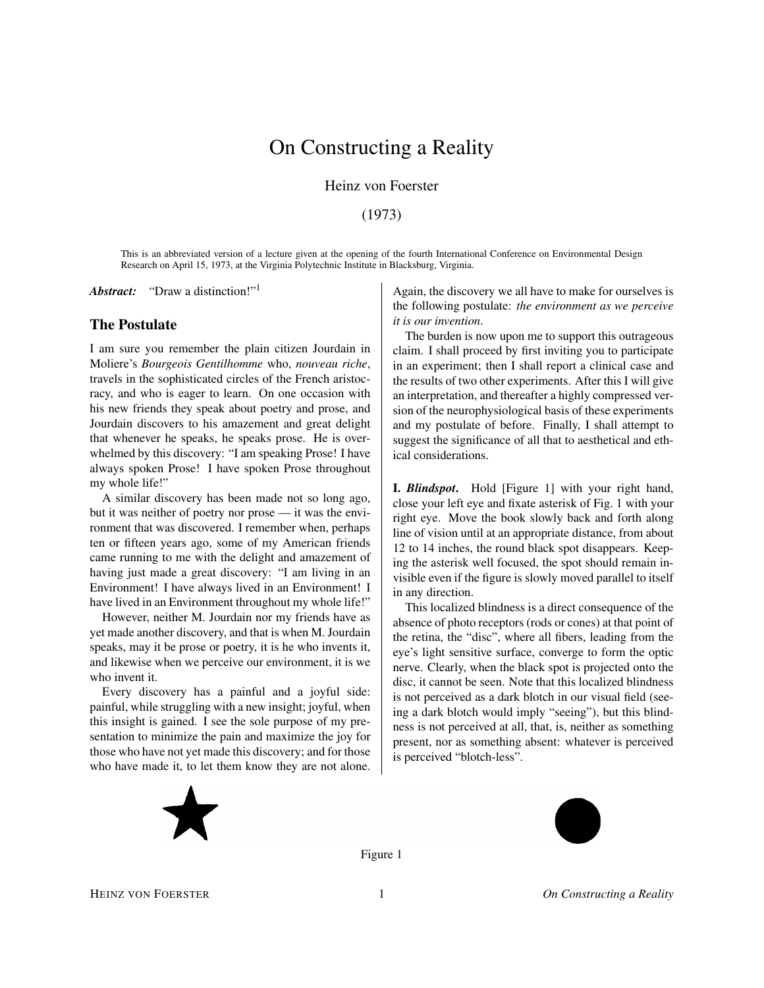# On Constructing a Reality

Heinz von Foerster

# (1973)

This is an abbreviated version of a lecture given at the opening of the fourth International Conference on Environmental Design Research on April 15, 1973, at the Virginia Polytechnic Institute in Blacksburg, Virginia.

*Abstract:* "Draw a distinction!"<sup>1</sup>

# The Postulate

I am sure you remember the plain citizen Jourdain in Moliere's *Bourgeois Gentilhomme* who, *nouveau riche*, travels in the sophisticated circles of the French aristocracy, and who is eager to learn. On one occasion with his new friends they speak about poetry and prose, and Jourdain discovers to his amazement and great delight that whenever he speaks, he speaks prose. He is overwhelmed by this discovery: "I am speaking Prose! I have always spoken Prose! I have spoken Prose throughout my whole life!"

A similar discovery has been made not so long ago, but it was neither of poetry nor prose — it was the environment that was discovered. I remember when, perhaps ten or fifteen years ago, some of my American friends came running to me with the delight and amazement of having just made a great discovery: "I am living in an Environment! I have always lived in an Environment! I have lived in an Environment throughout my whole life!"

However, neither M. Jourdain nor my friends have as yet made another discovery, and that is when M. Jourdain speaks, may it be prose or poetry, it is he who invents it, and likewise when we perceive our environment, it is we who invent it.

Every discovery has a painful and a joyful side: painful, while struggling with a new insight; joyful, when this insight is gained. I see the sole purpose of my presentation to minimize the pain and maximize the joy for those who have not yet made this discovery; and for those who have made it, to let them know they are not alone.

Again, the discovery we all have to make for ourselves is the following postulate: *the environment as we perceive it is our invention*.

The burden is now upon me to support this outrageous claim. I shall proceed by first inviting you to participate in an experiment; then I shall report a clinical case and the results of two other experiments. After this I will give an interpretation, and thereafter a highly compressed version of the neurophysiological basis of these experiments and my postulate of before. Finally, I shall attempt to suggest the significance of all that to aesthetical and ethical considerations.

I. *Blindspot*. Hold [Figure 1] with your right hand, close your left eye and fixate asterisk of Fig. 1 with your right eye. Move the book slowly back and forth along line of vision until at an appropriate distance, from about 12 to 14 inches, the round black spot disappears. Keeping the asterisk well focused, the spot should remain invisible even if the figure is slowly moved parallel to itself in any direction.

This localized blindness is a direct consequence of the absence of photo receptors (rods or cones) at that point of the retina, the "disc", where all fibers, leading from the eye's light sensitive surface, converge to form the optic nerve. Clearly, when the black spot is projected onto the disc, it cannot be seen. Note that this localized blindness is not perceived as a dark blotch in our visual field (seeing a dark blotch would imply "seeing"), but this blindness is not perceived at all, that, is, neither as something present, nor as something absent: whatever is perceived is perceived "blotch-less".



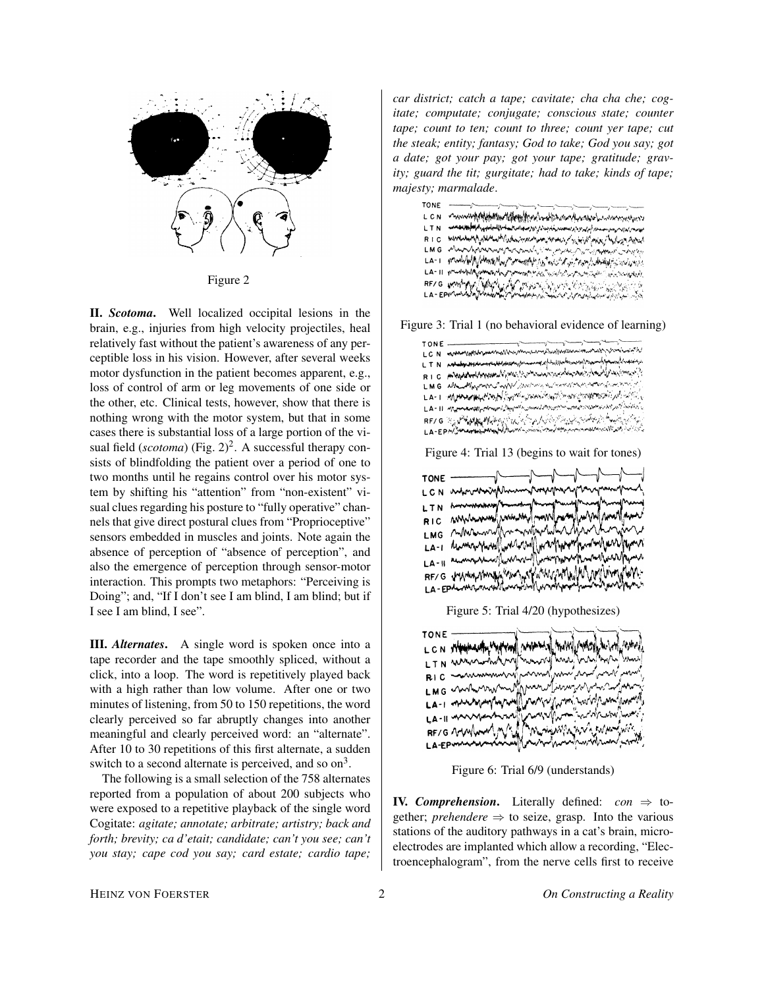

Figure 2

II. *Scotoma*. Well localized occipital lesions in the brain, e.g., injuries from high velocity projectiles, heal relatively fast without the patient's awareness of any perceptible loss in his vision. However, after several weeks motor dysfunction in the patient becomes apparent, e.g., loss of control of arm or leg movements of one side or the other, etc. Clinical tests, however, show that there is nothing wrong with the motor system, but that in some cases there is substantial loss of a large portion of the visual field (*scotoma*) (Fig. 2)<sup>2</sup>. A successful therapy consists of blindfolding the patient over a period of one to two months until he regains control over his motor system by shifting his "attention" from "non-existent" visual clues regarding his posture to "fully operative" channels that give direct postural clues from "Proprioceptive" sensors embedded in muscles and joints. Note again the absence of perception of "absence of perception", and also the emergence of perception through sensor-motor interaction. This prompts two metaphors: "Perceiving is Doing"; and, "If I don't see I am blind, I am blind; but if I see I am blind, I see".

III. *Alternates*. A single word is spoken once into a tape recorder and the tape smoothly spliced, without a click, into a loop. The word is repetitively played back with a high rather than low volume. After one or two minutes of listening, from 50 to 150 repetitions, the word clearly perceived so far abruptly changes into another meaningful and clearly perceived word: an "alternate". After 10 to 30 repetitions of this first alternate, a sudden switch to a second alternate is perceived, and so  $\text{on}^3$ .

The following is a small selection of the 758 alternates reported from a population of about 200 subjects who were exposed to a repetitive playback of the single word Cogitate: *agitate; annotate; arbitrate; artistry; back and forth; brevity; ca d'etait; candidate; can't you see; can't you stay; cape cod you say; card estate; cardio tape;*

*car district; catch a tape; cavitate; cha cha che; cogitate; computate; conjugate; conscious state; counter tape; count to ten; count to three; count yer tape; cut the steak; entity; fantasy; God to take; God you say; got a date; got your pay; got your tape; gratitude; gravity; guard the tit; gurgitate; had to take; kinds of tape; majesty; marmalade*.



Figure 3: Trial 1 (no behavioral evidence of learning)



Figure 6: Trial 6/9 (understands)

**IV.** *Comprehension*. Literally defined:  $con \Rightarrow$  together; *prehendere*  $\Rightarrow$  to seize, grasp. Into the various stations of the auditory pathways in a cat's brain, microelectrodes are implanted which allow a recording, "Electroencephalogram", from the nerve cells first to receive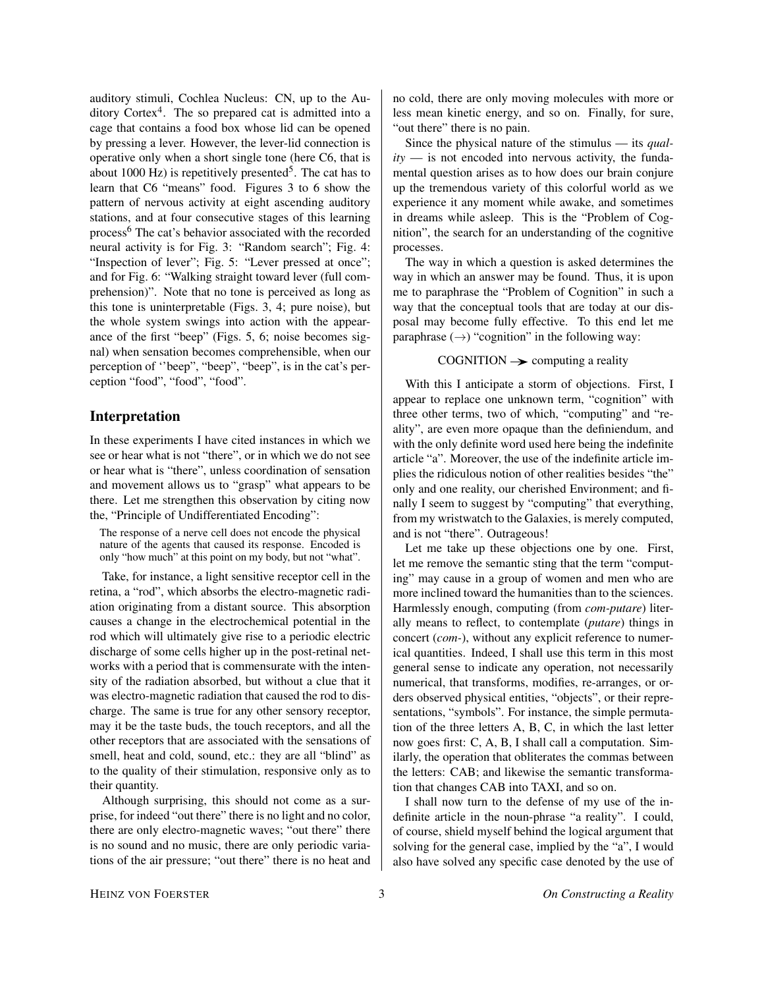auditory stimuli, Cochlea Nucleus: CN, up to the Auditory Cortex<sup>4</sup>. The so prepared cat is admitted into a cage that contains a food box whose lid can be opened by pressing a lever. However, the lever-lid connection is operative only when a short single tone (here C6, that is about 1000 Hz) is repetitively presented<sup>5</sup>. The cat has to learn that C6 "means" food. Figures 3 to 6 show the pattern of nervous activity at eight ascending auditory stations, and at four consecutive stages of this learning process<sup>6</sup> The cat's behavior associated with the recorded neural activity is for Fig. 3: "Random search"; Fig. 4: "Inspection of lever"; Fig. 5: "Lever pressed at once"; and for Fig. 6: "Walking straight toward lever (full comprehension)". Note that no tone is perceived as long as this tone is uninterpretable (Figs. 3, 4; pure noise), but the whole system swings into action with the appearance of the first "beep" (Figs. 5, 6; noise becomes signal) when sensation becomes comprehensible, when our perception of ''beep", "beep", "beep", is in the cat's perception "food", "food", "food".

## Interpretation

In these experiments I have cited instances in which we see or hear what is not "there", or in which we do not see or hear what is "there", unless coordination of sensation and movement allows us to "grasp" what appears to be there. Let me strengthen this observation by citing now the, "Principle of Undifferentiated Encoding":

The response of a nerve cell does not encode the physical nature of the agents that caused its response. Encoded is only "how much" at this point on my body, but not "what".

Take, for instance, a light sensitive receptor cell in the retina, a "rod", which absorbs the electro-magnetic radiation originating from a distant source. This absorption causes a change in the electrochemical potential in the rod which will ultimately give rise to a periodic electric discharge of some cells higher up in the post-retinal networks with a period that is commensurate with the intensity of the radiation absorbed, but without a clue that it was electro-magnetic radiation that caused the rod to discharge. The same is true for any other sensory receptor, may it be the taste buds, the touch receptors, and all the other receptors that are associated with the sensations of smell, heat and cold, sound, etc.: they are all "blind" as to the quality of their stimulation, responsive only as to their quantity.

Although surprising, this should not come as a surprise, for indeed "out there" there is no light and no color, there are only electro-magnetic waves; "out there" there is no sound and no music, there are only periodic variations of the air pressure; "out there" there is no heat and no cold, there are only moving molecules with more or less mean kinetic energy, and so on. Finally, for sure, "out there" there is no pain.

Since the physical nature of the stimulus — its *qual* $ity$  — is not encoded into nervous activity, the fundamental question arises as to how does our brain conjure up the tremendous variety of this colorful world as we experience it any moment while awake, and sometimes in dreams while asleep. This is the "Problem of Cognition", the search for an understanding of the cognitive processes.

The way in which a question is asked determines the way in which an answer may be found. Thus, it is upon me to paraphrase the "Problem of Cognition" in such a way that the conceptual tools that are today at our disposal may become fully effective. To this end let me paraphrase  $(\rightarrow)$  "cognition" in the following way:

#### $COGNITION \rightarrow \text{computing a reality}$

With this I anticipate a storm of objections. First, I appear to replace one unknown term, "cognition" with three other terms, two of which, "computing" and "reality", are even more opaque than the definiendum, and with the only definite word used here being the indefinite article "a". Moreover, the use of the indefinite article implies the ridiculous notion of other realities besides "the" only and one reality, our cherished Environment; and finally I seem to suggest by "computing" that everything, from my wristwatch to the Galaxies, is merely computed, and is not "there". Outrageous!

Let me take up these objections one by one. First, let me remove the semantic sting that the term "computing" may cause in a group of women and men who are more inclined toward the humanities than to the sciences. Harmlessly enough, computing (from *com-putare*) literally means to reflect, to contemplate (*putare*) things in concert (*com-*), without any explicit reference to numerical quantities. Indeed, I shall use this term in this most general sense to indicate any operation, not necessarily numerical, that transforms, modifies, re-arranges, or orders observed physical entities, "objects", or their representations, "symbols". For instance, the simple permutation of the three letters A, B, C, in which the last letter now goes first: C, A, B, I shall call a computation. Similarly, the operation that obliterates the commas between the letters: CAB; and likewise the semantic transformation that changes CAB into TAXI, and so on.

I shall now turn to the defense of my use of the indefinite article in the noun-phrase "a reality". I could, of course, shield myself behind the logical argument that solving for the general case, implied by the "a", I would also have solved any specific case denoted by the use of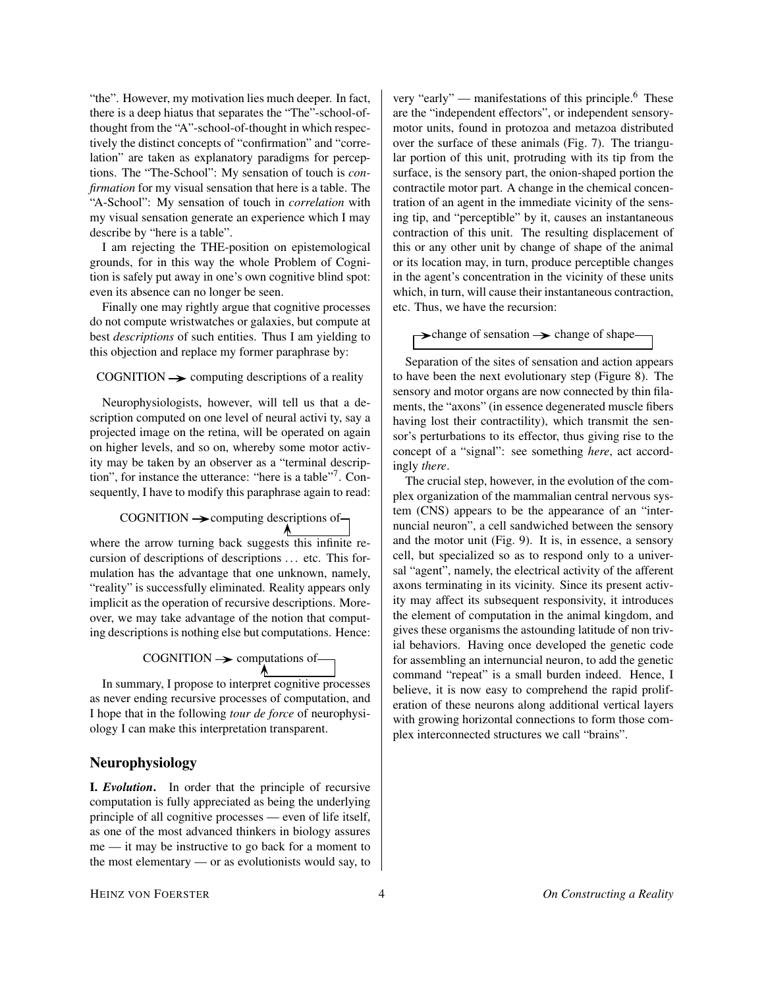"the". However, my motivation lies much deeper. In fact, there is a deep hiatus that separates the "The"-school-ofthought from the "A"-school-of-thought in which respectively the distinct concepts of "confirmation" and "correlation" are taken as explanatory paradigms for perceptions. The "The-School": My sensation of touch is *confirmation* for my visual sensation that here is a table. The "A-School": My sensation of touch in *correlation* with my visual sensation generate an experience which I may describe by "here is a table".

I am rejecting the THE-position on epistemological grounds, for in this way the whole Problem of Cognition is safely put away in one's own cognitive blind spot: even its absence can no longer be seen.

Finally one may rightly argue that cognitive processes do not compute wristwatches or galaxies, but compute at best *descriptions* of such entities. Thus I am yielding to this objection and replace my former paraphrase by:

#### $COGNITION \rightarrow$  computing descriptions of a reality

Neurophysiologists, however, will tell us that a description computed on one level of neural activi ty, say a projected image on the retina, will be operated on again on higher levels, and so on, whereby some motor activity may be taken by an observer as a "terminal description", for instance the utterance: "here is a table"<sup>7</sup> . Consequently, I have to modify this paraphrase again to read:

# $COGNITION \rightarrow$  computing descriptions of $\neg$

where the arrow turning back suggests this infinite recursion of descriptions of descriptions ... etc. This formulation has the advantage that one unknown, namely, "reality" is successfully eliminated. Reality appears only implicit as the operation of recursive descriptions. Moreover, we may take advantage of the notion that computing descriptions is nothing else but computations. Hence:

# $\overline{\text{COGNITION}} \rightarrow \text{computations of}$

In summary, I propose to interpret cognitive processes as never ending recursive processes of computation, and I hope that in the following *tour de force* of neurophysiology I can make this interpretation transparent.

#### Neurophysiology

I. *Evolution*. In order that the principle of recursive computation is fully appreciated as being the underlying principle of all cognitive processes — even of life itself, as one of the most advanced thinkers in biology assures me — it may be instructive to go back for a moment to the most elementary — or as evolutionists would say, to very "early" — manifestations of this principle.<sup>6</sup> These are the "independent effectors", or independent sensorymotor units, found in protozoa and metazoa distributed over the surface of these animals (Fig. 7). The triangular portion of this unit, protruding with its tip from the surface, is the sensory part, the onion-shaped portion the contractile motor part. A change in the chemical concentration of an agent in the immediate vicinity of the sensing tip, and "perceptible" by it, causes an instantaneous contraction of this unit. The resulting displacement of this or any other unit by change of shape of the animal or its location may, in turn, produce perceptible changes in the agent's concentration in the vicinity of these units which, in turn, will cause their instantaneous contraction, etc. Thus, we have the recursion:

## $\rightarrow$  change of sensation  $\rightarrow$  change of shape-

Separation of the sites of sensation and action appears to have been the next evolutionary step (Figure 8). The sensory and motor organs are now connected by thin filaments, the "axons" (in essence degenerated muscle fibers having lost their contractility), which transmit the sensor's perturbations to its effector, thus giving rise to the concept of a "signal": see something *here*, act accordingly *there*.

The crucial step, however, in the evolution of the complex organization of the mammalian central nervous system (CNS) appears to be the appearance of an "internuncial neuron", a cell sandwiched between the sensory and the motor unit (Fig. 9). It is, in essence, a sensory cell, but specialized so as to respond only to a universal "agent", namely, the electrical activity of the afferent axons terminating in its vicinity. Since its present activity may affect its subsequent responsivity, it introduces the element of computation in the animal kingdom, and gives these organisms the astounding latitude of non trivial behaviors. Having once developed the genetic code for assembling an internuncial neuron, to add the genetic command "repeat" is a small burden indeed. Hence, I believe, it is now easy to comprehend the rapid proliferation of these neurons along additional vertical layers with growing horizontal connections to form those complex interconnected structures we call "brains".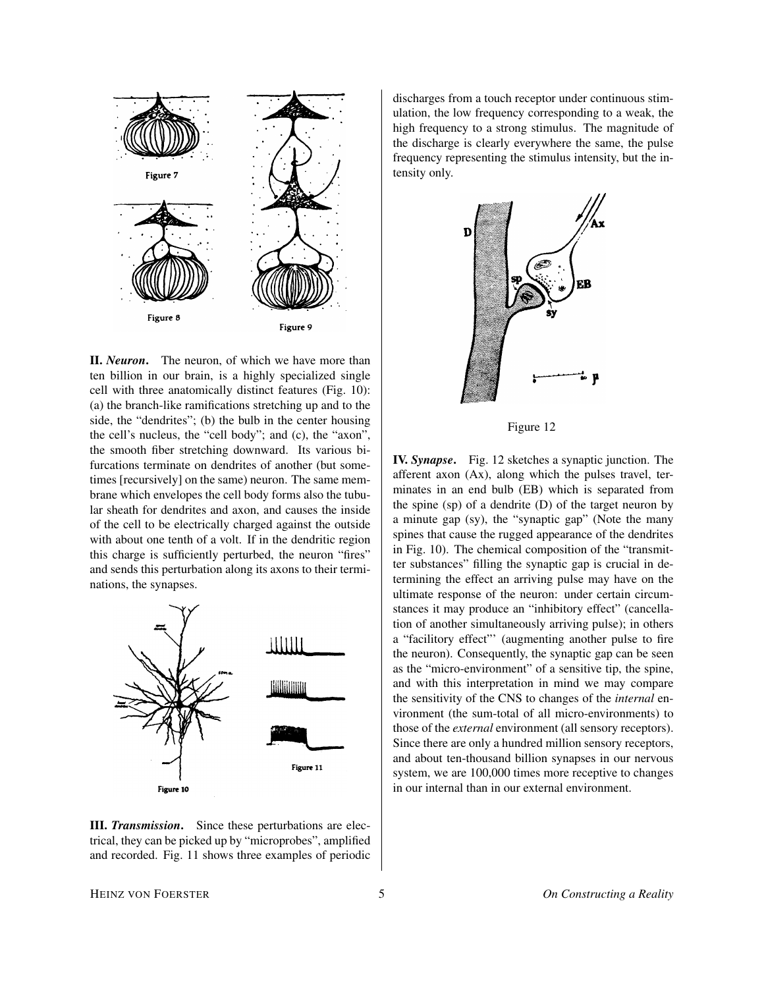

II. *Neuron*. The neuron, of which we have more than ten billion in our brain, is a highly specialized single cell with three anatomically distinct features (Fig. 10): (a) the branch-like ramifications stretching up and to the side, the "dendrites"; (b) the bulb in the center housing the cell's nucleus, the "cell body"; and (c), the "axon", the smooth fiber stretching downward. Its various bifurcations terminate on dendrites of another (but sometimes [recursively] on the same) neuron. The same membrane which envelopes the cell body forms also the tubular sheath for dendrites and axon, and causes the inside of the cell to be electrically charged against the outside with about one tenth of a volt. If in the dendritic region this charge is sufficiently perturbed, the neuron "fires" and sends this perturbation along its axons to their terminations, the synapses.



III. *Transmission*. Since these perturbations are electrical, they can be picked up by "microprobes", amplified and recorded. Fig. 11 shows three examples of periodic

discharges from a touch receptor under continuous stimulation, the low frequency corresponding to a weak, the high frequency to a strong stimulus. The magnitude of the discharge is clearly everywhere the same, the pulse frequency representing the stimulus intensity, but the intensity only.



Figure 12

IV. *Synapse*. Fig. 12 sketches a synaptic junction. The afferent axon (Ax), along which the pulses travel, terminates in an end bulb (EB) which is separated from the spine (sp) of a dendrite (D) of the target neuron by a minute gap (sy), the "synaptic gap" (Note the many spines that cause the rugged appearance of the dendrites in Fig. 10). The chemical composition of the "transmitter substances" filling the synaptic gap is crucial in determining the effect an arriving pulse may have on the ultimate response of the neuron: under certain circumstances it may produce an "inhibitory effect" (cancellation of another simultaneously arriving pulse); in others a "facilitory effect"' (augmenting another pulse to fire the neuron). Consequently, the synaptic gap can be seen as the "micro-environment" of a sensitive tip, the spine, and with this interpretation in mind we may compare the sensitivity of the CNS to changes of the *internal* environment (the sum-total of all micro-environments) to those of the *external* environment (all sensory receptors). Since there are only a hundred million sensory receptors, and about ten-thousand billion synapses in our nervous system, we are 100,000 times more receptive to changes in our internal than in our external environment.

HEINZ VON FOERSTER 5 *On Constructing a Reality*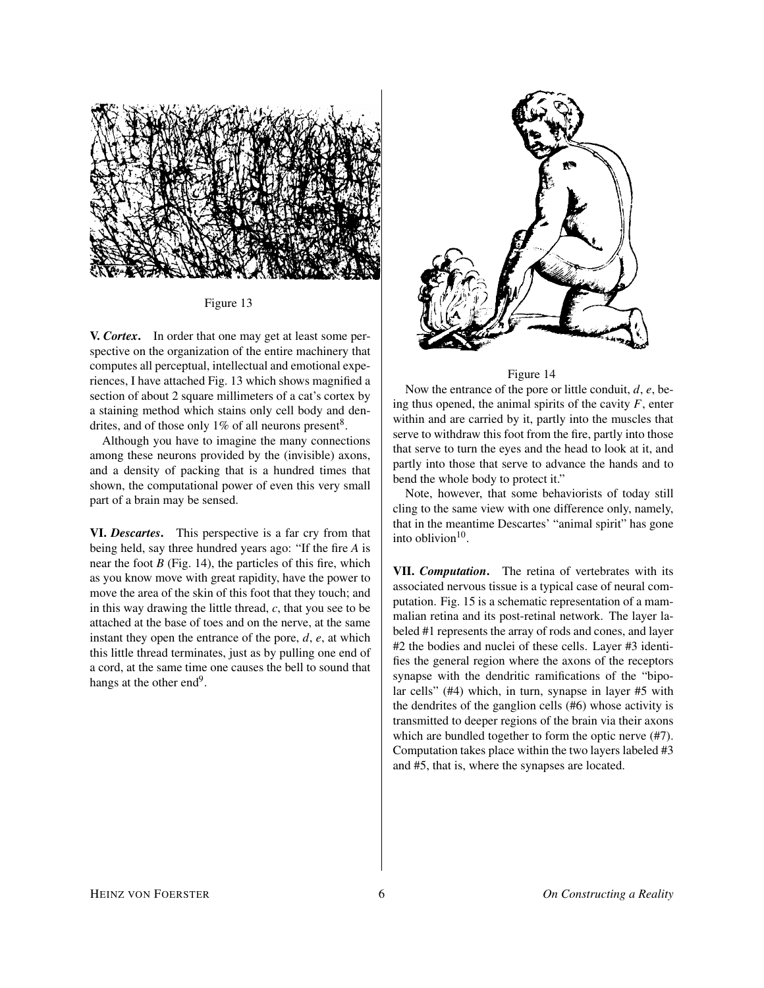

Figure 13

V. *Cortex*. In order that one may get at least some perspective on the organization of the entire machinery that computes all perceptual, intellectual and emotional experiences, I have attached Fig. 13 which shows magnified a section of about 2 square millimeters of a cat's cortex by a staining method which stains only cell body and dendrites, and of those only 1% of all neurons present<sup>8</sup>.

Although you have to imagine the many connections among these neurons provided by the (invisible) axons, and a density of packing that is a hundred times that shown, the computational power of even this very small part of a brain may be sensed.

VI. *Descartes*. This perspective is a far cry from that being held, say three hundred years ago: "If the fire *A* is near the foot  $B$  (Fig. 14), the particles of this fire, which as you know move with great rapidity, have the power to move the area of the skin of this foot that they touch; and in this way drawing the little thread, *c*, that you see to be attached at the base of toes and on the nerve, at the same instant they open the entrance of the pore, *d*, *e*, at which this little thread terminates, just as by pulling one end of a cord, at the same time one causes the bell to sound that hangs at the other end<sup>9</sup>.



#### Figure 14

Now the entrance of the pore or little conduit, *d*, *e*, being thus opened, the animal spirits of the cavity  $F$ , enter within and are carried by it, partly into the muscles that serve to withdraw this foot from the fire, partly into those that serve to turn the eyes and the head to look at it, and partly into those that serve to advance the hands and to bend the whole body to protect it."

Note, however, that some behaviorists of today still cling to the same view with one difference only, namely, that in the meantime Descartes' "animal spirit" has gone into oblivion $10$ .

VII. *Computation*. The retina of vertebrates with its associated nervous tissue is a typical case of neural computation. Fig. 15 is a schematic representation of a mammalian retina and its post-retinal network. The layer labeled #1 represents the array of rods and cones, and layer #2 the bodies and nuclei of these cells. Layer #3 identifies the general region where the axons of the receptors synapse with the dendritic ramifications of the "bipolar cells" (#4) which, in turn, synapse in layer #5 with the dendrites of the ganglion cells (#6) whose activity is transmitted to deeper regions of the brain via their axons which are bundled together to form the optic nerve  $(#7)$ . Computation takes place within the two layers labeled #3 and #5, that is, where the synapses are located.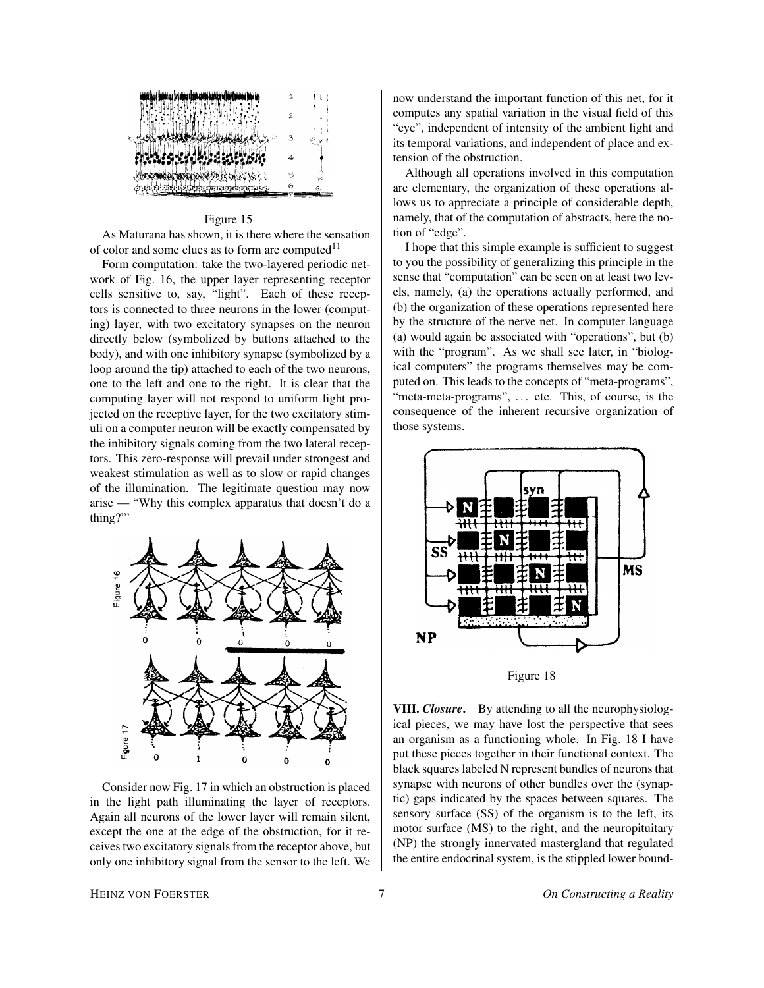

#### Figure 15

As Maturana has shown, it is there where the sensation of color and some clues as to form are computed $11$ 

Form computation: take the two-layered periodic network of Fig. 16, the upper layer representing receptor cells sensitive to, say, "light". Each of these receptors is connected to three neurons in the lower (computing) layer, with two excitatory synapses on the neuron directly below (symbolized by buttons attached to the body), and with one inhibitory synapse (symbolized by a loop around the tip) attached to each of the two neurons, one to the left and one to the right. It is clear that the computing layer will not respond to uniform light projected on the receptive layer, for the two excitatory stimuli on a computer neuron will be exactly compensated by the inhibitory signals coming from the two lateral receptors. This zero-response will prevail under strongest and weakest stimulation as well as to slow or rapid changes of the illumination. The legitimate question may now arise — "Why this complex apparatus that doesn't do a thing?"'



Consider now Fig. 17 in which an obstruction is placed in the light path illuminating the layer of receptors. Again all neurons of the lower layer will remain silent, except the one at the edge of the obstruction, for it receives two excitatory signals from the receptor above, but only one inhibitory signal from the sensor to the left. We

now understand the important function of this net, for it computes any spatial variation in the visual field of this "eye", independent of intensity of the ambient light and its temporal variations, and independent of place and extension of the obstruction.

Although all operations involved in this computation are elementary, the organization of these operations allows us to appreciate a principle of considerable depth, namely, that of the computation of abstracts, here the notion of "edge".

I hope that this simple example is sufficient to suggest to you the possibility of generalizing this principle in the sense that "computation" can be seen on at least two levels, namely, (a) the operations actually performed, and (b) the organization of these operations represented here by the structure of the nerve net. In computer language (a) would again be associated with "operations", but (b) with the "program". As we shall see later, in "biological computers" the programs themselves may be computed on. This leads to the concepts of "meta-programs", 'meta-meta-programs'', ... etc. This, of course, is the consequence of the inherent recursive organization of those systems.



Figure 18

VIII. *Closure*. By attending to all the neurophysiological pieces, we may have lost the perspective that sees an organism as a functioning whole. In Fig. 18 I have put these pieces together in their functional context. The black squares labeled N represent bundles of neurons that synapse with neurons of other bundles over the (synaptic) gaps indicated by the spaces between squares. The sensory surface (SS) of the organism is to the left, its motor surface (MS) to the right, and the neuropituitary (NP) the strongly innervated mastergland that regulated the entire endocrinal system, is the stippled lower bound-

# HEINZ VON FOERSTER 7 *On Constructing a Reality*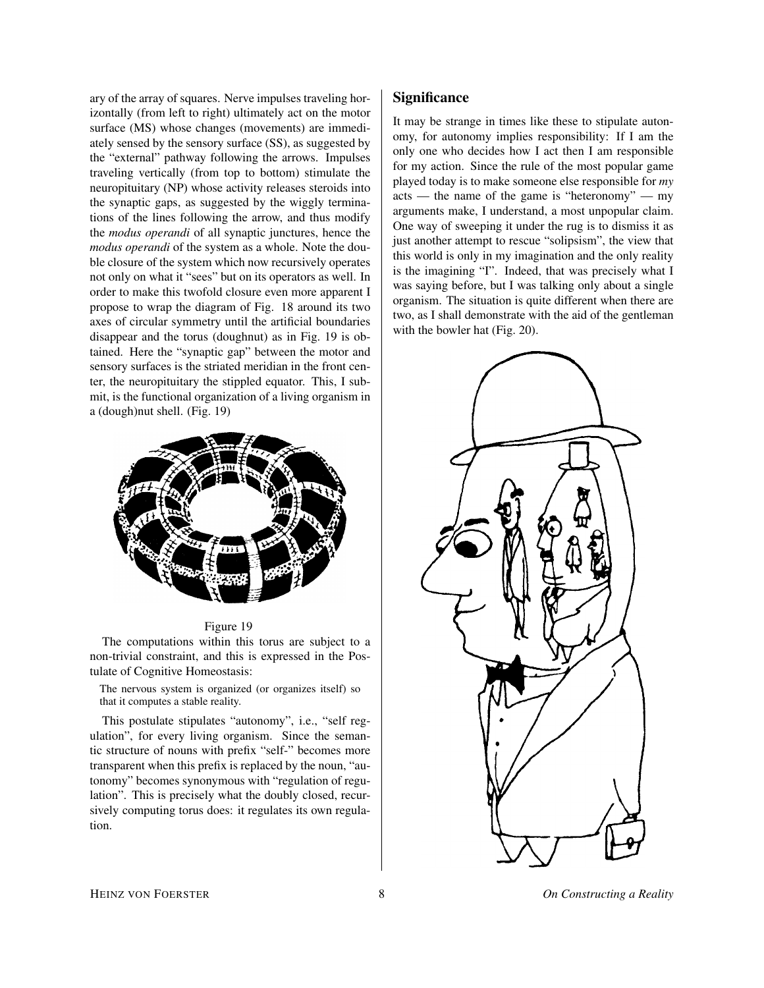ary of the array of squares. Nerve impulses traveling horizontally (from left to right) ultimately act on the motor surface (MS) whose changes (movements) are immediately sensed by the sensory surface (SS), as suggested by the "external" pathway following the arrows. Impulses traveling vertically (from top to bottom) stimulate the neuropituitary (NP) whose activity releases steroids into the synaptic gaps, as suggested by the wiggly terminations of the lines following the arrow, and thus modify the *modus operandi* of all synaptic junctures, hence the *modus operandi* of the system as a whole. Note the double closure of the system which now recursively operates not only on what it "sees" but on its operators as well. In order to make this twofold closure even more apparent I propose to wrap the diagram of Fig. 18 around its two axes of circular symmetry until the artificial boundaries disappear and the torus (doughnut) as in Fig. 19 is obtained. Here the "synaptic gap" between the motor and sensory surfaces is the striated meridian in the front center, the neuropituitary the stippled equator. This, I submit, is the functional organization of a living organism in a (dough)nut shell. (Fig. 19)



#### Figure 19

The computations within this torus are subject to a non-trivial constraint, and this is expressed in the Postulate of Cognitive Homeostasis:

The nervous system is organized (or organizes itself) so that it computes a stable reality.

This postulate stipulates "autonomy", i.e., "self regulation", for every living organism. Since the semantic structure of nouns with prefix "self-" becomes more transparent when this prefix is replaced by the noun, "autonomy" becomes synonymous with "regulation of regulation". This is precisely what the doubly closed, recursively computing torus does: it regulates its own regulation.

# **Significance**

It may be strange in times like these to stipulate autonomy, for autonomy implies responsibility: If I am the only one who decides how I act then I am responsible for my action. Since the rule of the most popular game played today is to make someone else responsible for *my*  $acts — the name of the game is "heteronomy" — my"$ arguments make, I understand, a most unpopular claim. One way of sweeping it under the rug is to dismiss it as just another attempt to rescue "solipsism", the view that this world is only in my imagination and the only reality is the imagining "I". Indeed, that was precisely what I was saying before, but I was talking only about a single organism. The situation is quite different when there are two, as I shall demonstrate with the aid of the gentleman with the bowler hat (Fig. 20).